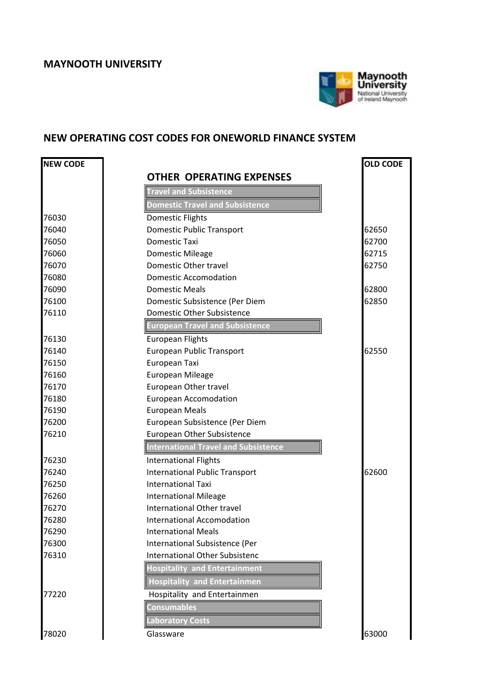

## **NEW OPERATING COST CODES FOR ONEWORLD FINANCE SYSTEM**

| <b>NEW CODE</b> |                                             | <b>OLD CODE</b> |
|-----------------|---------------------------------------------|-----------------|
|                 | <b>OTHER OPERATING EXPENSES</b>             |                 |
|                 | <b>Travel and Subsistence</b>               |                 |
|                 | <b>Domestic Travel and Subsistence</b>      |                 |
| 76030           | Domestic Flights                            |                 |
| 76040           | <b>Domestic Public Transport</b>            | 62650           |
| 76050           | Domestic Taxi                               | 62700           |
| 76060           | Domestic Mileage                            | 62715           |
| 76070           | Domestic Other travel                       | 62750           |
| 76080           | <b>Domestic Accomodation</b>                |                 |
| 76090           | <b>Domestic Meals</b>                       | 62800           |
| 76100           | Domestic Subsistence (Per Diem              | 62850           |
| 76110           | Domestic Other Subsistence                  |                 |
|                 | <b>European Travel and Subsistence</b>      |                 |
| 76130           | <b>European Flights</b>                     |                 |
| 76140           | European Public Transport                   | 62550           |
| 76150           | European Taxi                               |                 |
| 76160           | <b>European Mileage</b>                     |                 |
| 76170           | European Other travel                       |                 |
| 76180           | <b>European Accomodation</b>                |                 |
| 76190           | <b>European Meals</b>                       |                 |
| 76200           | European Subsistence (Per Diem              |                 |
| 76210           | <b>European Other Subsistence</b>           |                 |
|                 | <b>International Travel and Subsistence</b> |                 |
| 76230           | <b>International Flights</b>                |                 |
| 76240           | <b>International Public Transport</b>       | 62600           |
| 76250           | <b>International Taxi</b>                   |                 |
| 76260           | <b>International Mileage</b>                |                 |
| 76270           | International Other travel                  |                 |
| 76280           | International Accomodation                  |                 |
| 76290           | <b>International Meals</b>                  |                 |
| 76300           | International Subsistence (Per              |                 |
| 76310           | <b>International Other Subsistenc</b>       |                 |
|                 | <b>Hospitality and Entertainment</b>        |                 |
|                 | <b>Hospitality and Entertainmen</b>         |                 |
| 77220           | Hospitality and Entertainmen                |                 |
|                 | <b>Consumables</b>                          |                 |
|                 | <b>Laboratory Costs</b>                     |                 |
| 78020           | Glassware                                   | 63000           |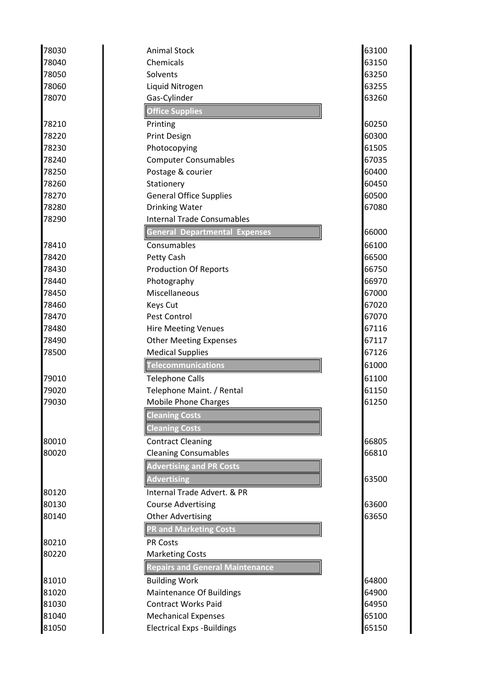| 78030 | <b>Animal Stock</b>                    | 63100 |
|-------|----------------------------------------|-------|
| 78040 | Chemicals                              | 63150 |
| 78050 | Solvents                               | 63250 |
| 78060 | Liquid Nitrogen                        | 63255 |
| 78070 | Gas-Cylinder                           | 63260 |
|       | <b>Office Supplies</b>                 |       |
| 78210 | Printing                               | 60250 |
| 78220 | <b>Print Design</b>                    | 60300 |
| 78230 | Photocopying                           | 61505 |
| 78240 | <b>Computer Consumables</b>            | 67035 |
| 78250 | Postage & courier                      | 60400 |
| 78260 | Stationery                             | 60450 |
| 78270 | <b>General Office Supplies</b>         | 60500 |
| 78280 | <b>Drinking Water</b>                  | 67080 |
| 78290 | <b>Internal Trade Consumables</b>      |       |
|       | <b>General Departmental Expenses</b>   | 66000 |
| 78410 | Consumables                            | 66100 |
| 78420 | Petty Cash                             | 66500 |
| 78430 | <b>Production Of Reports</b>           | 66750 |
| 78440 | Photography                            | 66970 |
| 78450 | Miscellaneous                          | 67000 |
| 78460 | Keys Cut                               | 67020 |
| 78470 | Pest Control                           | 67070 |
| 78480 | <b>Hire Meeting Venues</b>             | 67116 |
| 78490 | <b>Other Meeting Expenses</b>          | 67117 |
| 78500 | <b>Medical Supplies</b>                | 67126 |
|       | Telecommunications                     | 61000 |
| 79010 | <b>Telephone Calls</b>                 | 61100 |
| 79020 | Telephone Maint. / Rental              | 61150 |
| 79030 | <b>Mobile Phone Charges</b>            | 61250 |
|       | <b>Cleaning Costs</b>                  |       |
|       | <b>Cleaning Costs</b>                  |       |
| 80010 | <b>Contract Cleaning</b>               | 66805 |
| 80020 | <b>Cleaning Consumables</b>            | 66810 |
|       | <b>Advertising and PR Costs</b>        |       |
|       | <b>Advertising</b>                     | 63500 |
| 80120 | Internal Trade Advert, & PR            |       |
| 80130 | <b>Course Advertising</b>              | 63600 |
| 80140 | <b>Other Advertising</b>               | 63650 |
|       | <b>PR and Marketing Costs</b>          |       |
| 80210 | <b>PR Costs</b>                        |       |
| 80220 | <b>Marketing Costs</b>                 |       |
|       | <b>Repairs and General Maintenance</b> |       |
| 81010 | <b>Building Work</b>                   | 64800 |
| 81020 | <b>Maintenance Of Buildings</b>        | 64900 |
| 81030 | <b>Contract Works Paid</b>             | 64950 |
| 81040 | <b>Mechanical Expenses</b>             | 65100 |
| 81050 | <b>Electrical Exps - Buildings</b>     | 65150 |
|       |                                        |       |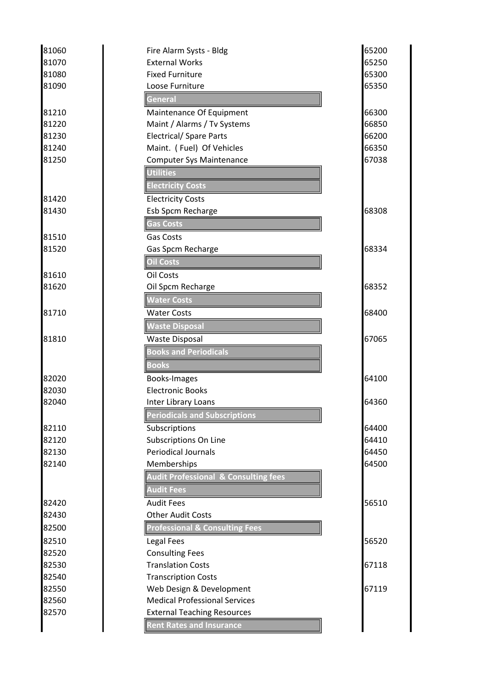| 81060 | Fire Alarm Systs - Bldg                         | 65200 |
|-------|-------------------------------------------------|-------|
| 81070 | <b>External Works</b>                           | 65250 |
| 81080 | <b>Fixed Furniture</b>                          | 65300 |
| 81090 | Loose Furniture                                 | 65350 |
|       | General                                         |       |
| 81210 | Maintenance Of Equipment                        | 66300 |
| 81220 | Maint / Alarms / Tv Systems                     | 66850 |
| 81230 | <b>Electrical/ Spare Parts</b>                  | 66200 |
| 81240 | Maint. (Fuel) Of Vehicles                       | 66350 |
| 81250 | <b>Computer Sys Maintenance</b>                 | 67038 |
|       | <b>Utilities</b>                                |       |
|       | <b>Electricity Costs</b>                        |       |
| 81420 | <b>Electricity Costs</b>                        |       |
| 81430 | Esb Spcm Recharge                               | 68308 |
|       | <b>Gas Costs</b>                                |       |
| 81510 | <b>Gas Costs</b>                                |       |
| 81520 | Gas Spcm Recharge                               | 68334 |
|       | <b>Oil Costs</b>                                |       |
| 81610 | Oil Costs                                       |       |
| 81620 | Oil Spcm Recharge                               | 68352 |
|       | <b>Water Costs</b>                              |       |
| 81710 | <b>Water Costs</b>                              | 68400 |
|       | <b>Waste Disposal</b>                           |       |
| 81810 | <b>Waste Disposal</b>                           | 67065 |
|       | <b>Books and Periodicals</b>                    |       |
|       | <b>Books</b>                                    |       |
| 82020 | Books-Images                                    | 64100 |
| 82030 | <b>Electronic Books</b>                         |       |
| 82040 | Inter Library Loans                             | 64360 |
|       | <b>Periodicals and Subscriptions</b>            |       |
| 82110 | Subscriptions                                   | 64400 |
| 82120 | Subscriptions On Line                           | 64410 |
| 82130 | <b>Periodical Journals</b>                      | 64450 |
| 82140 | Memberships                                     | 64500 |
|       | <b>Audit Professional &amp; Consulting fees</b> |       |
|       | <b>Audit Fees</b>                               |       |
| 82420 | <b>Audit Fees</b>                               | 56510 |
| 82430 | <b>Other Audit Costs</b>                        |       |
| 82500 | <b>Professional &amp; Consulting Fees</b>       |       |
| 82510 | <b>Legal Fees</b>                               | 56520 |
| 82520 | <b>Consulting Fees</b>                          |       |
| 82530 | <b>Translation Costs</b>                        | 67118 |
| 82540 | <b>Transcription Costs</b>                      |       |
| 82550 | Web Design & Development                        | 67119 |
| 82560 | <b>Medical Professional Services</b>            |       |
| 82570 | <b>External Teaching Resources</b>              |       |
|       | <b>Rent Rates and Insurance</b>                 |       |
|       |                                                 |       |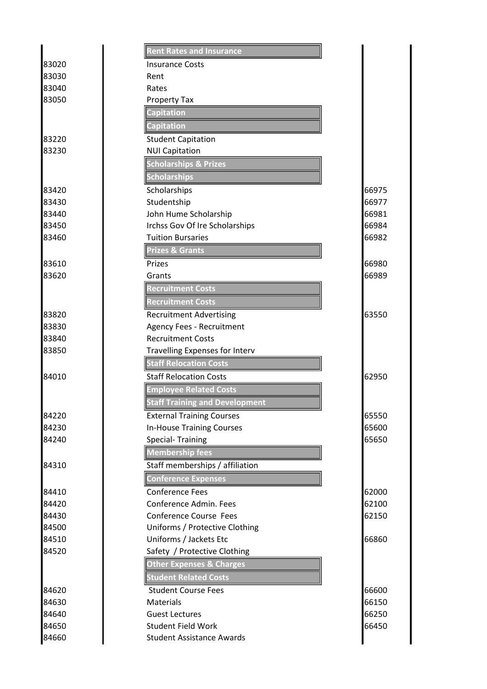|                | <b>Rent Rates and Insurance</b>                  |                |
|----------------|--------------------------------------------------|----------------|
| 83020          | <b>Insurance Costs</b>                           |                |
| 83030          | Rent                                             |                |
| 83040          | Rates                                            |                |
| 83050          | Property Tax                                     |                |
|                | Capitation                                       |                |
|                | <b>Capitation</b>                                |                |
| 83220          | <b>Student Capitation</b>                        |                |
| 83230          | <b>NUI Capitation</b>                            |                |
|                | <b>Scholarships &amp; Prizes</b>                 |                |
|                | <b>Scholarships</b>                              |                |
| 83420          | Scholarships                                     | 66975          |
| 83430          | Studentship                                      | 66977          |
| 83440          | John Hume Scholarship                            | 66981          |
| 83450          | Irchss Gov Of Ire Scholarships                   | 66984          |
| 83460          | <b>Tuition Bursaries</b>                         | 66982          |
|                | <b>Prizes &amp; Grants</b>                       |                |
| 83610          | Prizes                                           | 66980          |
| 83620          | Grants                                           | 66989          |
|                | <b>Recruitment Costs</b>                         |                |
|                | <b>Recruitment Costs</b>                         |                |
| 83820          | <b>Recruitment Advertising</b>                   | 63550          |
| 83830          | <b>Agency Fees - Recruitment</b>                 |                |
| 83840          | <b>Recruitment Costs</b>                         |                |
| 83850          | <b>Travelling Expenses for Interv</b>            |                |
|                | <b>Staff Relocation Costs</b>                    |                |
| 84010          | <b>Staff Relocation Costs</b>                    | 62950          |
|                | <b>Employee Related Costs</b>                    |                |
|                | <b>Staff Training and Development</b>            |                |
| 84220          | <b>External Training Courses</b>                 | 65550          |
| 84230          | <b>In-House Training Courses</b>                 | 65600          |
| 84240          | <b>Special-Training</b>                          | 65650          |
|                | <b>Membership fees</b>                           |                |
| 84310          | Staff memberships / affiliation                  |                |
|                |                                                  |                |
|                | <b>Conference Expenses</b>                       |                |
| 84410          | <b>Conference Fees</b><br>Conference Admin. Fees | 62000          |
| 84420<br>84430 | <b>Conference Course Fees</b>                    | 62100<br>62150 |
| 84500          | Uniforms / Protective Clothing                   |                |
| 84510          | Uniforms / Jackets Etc                           | 66860          |
| 84520          | Safety / Protective Clothing                     |                |
|                | <b>Other Expenses &amp; Charges</b>              |                |
|                | <b>Student Related Costs</b>                     |                |
|                |                                                  |                |
| 84620<br>84630 | <b>Student Course Fees</b><br><b>Materials</b>   | 66600<br>66150 |
| 84640          | <b>Guest Lectures</b>                            | 66250          |
| 84650          | <b>Student Field Work</b>                        | 66450          |
| 84660          | <b>Student Assistance Awards</b>                 |                |
|                |                                                  |                |